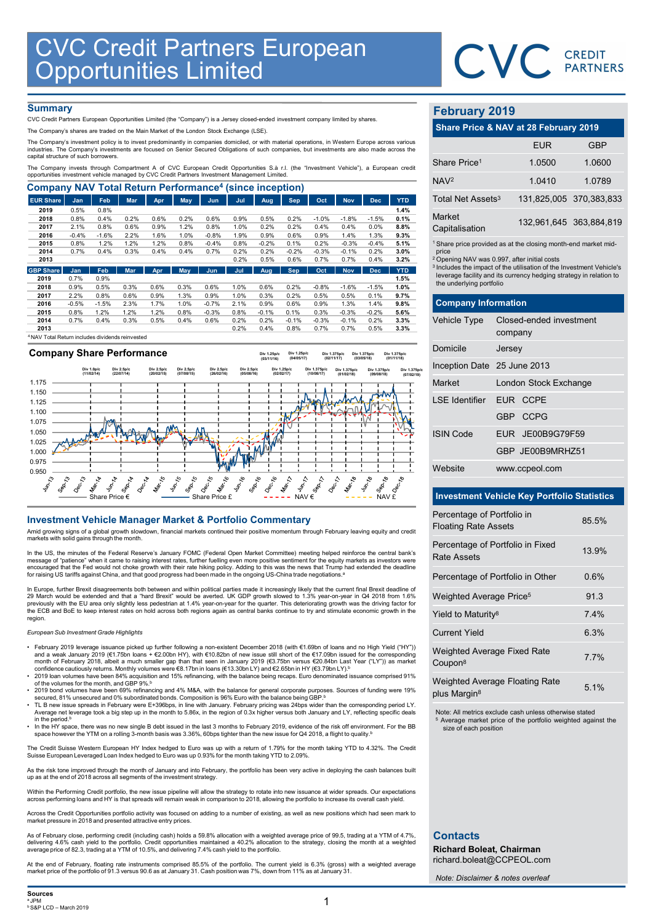

# **Summary**

| <b>CVC Credit Partners European<br/>Opportunities Limited</b>                                                                                                                                                                                                                                   |                 |                 |              |              |              |                 |              |              |              |              |              |              |              |                                                                               |                         |            |
|-------------------------------------------------------------------------------------------------------------------------------------------------------------------------------------------------------------------------------------------------------------------------------------------------|-----------------|-----------------|--------------|--------------|--------------|-----------------|--------------|--------------|--------------|--------------|--------------|--------------|--------------|-------------------------------------------------------------------------------|-------------------------|------------|
|                                                                                                                                                                                                                                                                                                 |                 |                 |              |              |              |                 |              |              |              |              |              |              |              |                                                                               | CVC CREDIT              |            |
|                                                                                                                                                                                                                                                                                                 |                 |                 |              |              |              |                 |              |              |              |              |              |              |              |                                                                               |                         |            |
|                                                                                                                                                                                                                                                                                                 |                 |                 |              |              |              |                 |              |              |              |              |              |              |              |                                                                               |                         |            |
| <b>Summary</b>                                                                                                                                                                                                                                                                                  |                 |                 |              |              |              |                 |              |              |              |              |              |              |              | <b>February 2019</b>                                                          |                         |            |
| CVC Credit Partners European Opportunities Limited (the "Company") is a Jersey closed-ended investment company limited by shares.                                                                                                                                                               |                 |                 |              |              |              |                 |              |              |              |              |              |              |              |                                                                               |                         |            |
| The Company's shares are traded on the Main Market of the London Stock Exchange (LSE).                                                                                                                                                                                                          |                 |                 |              |              |              |                 |              |              |              |              |              |              |              | Share Price & NAV at 28 February 2019                                         |                         |            |
| The Company's investment policy is to invest predominantly in companies domiciled, or with material operations, in Western Europe across various<br>industries. The Company's investments are focused on Senior Secured Obligations of such companies, but investments are also made across the |                 |                 |              |              |              |                 |              |              |              |              |              |              |              |                                                                               | <b>EUR</b>              | <b>GBP</b> |
| capital structure of such borrowers.<br>The Company invests through Compartment A of CVC European Credit Opportunities S.à r.l. (the "Investment Vehicle"), a European credit                                                                                                                   |                 |                 |              |              |              |                 |              |              |              |              |              |              |              | Share Price <sup>1</sup>                                                      | 1.0500                  | 1.0600     |
| opportunities investment vehicle managed by CVC Credit Partners Investment Management Limited.                                                                                                                                                                                                  |                 |                 |              |              |              |                 |              |              |              |              |              |              |              | NAV <sup>2</sup>                                                              | 1.0410                  | 1.0789     |
| <b>Company NAV Total Return Performance<sup>4</sup> (since inception)</b>                                                                                                                                                                                                                       |                 |                 |              |              |              |                 |              |              |              |              |              |              |              |                                                                               |                         |            |
| <b>EUR Share</b>                                                                                                                                                                                                                                                                                | Jan             | Feb             | <b>Mar</b>   | Apr          | May          | <b>Jun</b>      | Jul          | Aug          | <b>Sep</b>   | Oct          | <b>Nov</b>   | <b>Dec</b>   | <b>YTD</b>   | Total Net Assets <sup>3</sup>                                                 | 131,825,005 370,383,83  |            |
| 2019                                                                                                                                                                                                                                                                                            | 0.5%            | 0.8%            |              |              |              |                 |              |              |              |              |              |              | 1.4%         | Market                                                                        |                         |            |
| 2018                                                                                                                                                                                                                                                                                            | 0.8%            | 0.4%            | 0.2%         | 0.6%         | 0.2%         | 0.6%            | 0.9%         | 0.5%         | 0.2%         | $-1.0%$      | $-1.8%$      | $-1.5%$      | 0.1%         |                                                                               | 132,961,645 363,884,8   |            |
| 2017<br>2016                                                                                                                                                                                                                                                                                    | 2.1%<br>$-0.4%$ | 0.8%<br>$-1.6%$ | 0.6%<br>2.2% | 0.9%<br>1.6% | 1.2%<br>1.0% | 0.8%<br>$-0.8%$ | 1.0%<br>1.9% | 0.2%<br>0.9% | 0.2%<br>0.6% | 0.4%<br>0.9% | 0.4%<br>1.4% | 0.0%<br>1.3% | 8.8%<br>9.3% | Capitalisation                                                                |                         |            |
| 2015                                                                                                                                                                                                                                                                                            | 0.8%            | 1.2%            | 1.2%         | 1.2%         | 0.8%         | $-0.4%$         | 0.8%         | $-0.2%$      | 0.1%         | 0.2%         | $-0.3%$      | $-0.4%$      | 5.1%         | <sup>1</sup> Share price provided as at the closing month-end market mid      |                         |            |
| 2014                                                                                                                                                                                                                                                                                            | 0.7%            | 0.4%            | 0.3%         | 0.4%         | 0.4%         | 0.7%            | 0.2%         | 0.2%         | $-0.2%$      | $-0.3%$      | $-0.1%$      | 0.2%         | 3.0%         | price                                                                         |                         |            |
| 2013                                                                                                                                                                                                                                                                                            |                 |                 |              |              |              |                 | 0.2%         | 0.5%         | 0.6%         | 0.7%         | 0.7%         | 0.4%         | 3.2%         | <sup>2</sup> Opening NAV was 0.997, after initial costs                       |                         |            |
| <b>GBP Share</b>                                                                                                                                                                                                                                                                                | <b>Jan</b>      | Feb             | <b>Mar</b>   | Apr          | May          | Jun             | Jul          | Aug          | Sep          | Oct          | <b>Nov</b>   | <b>Dec</b>   | <b>YTD</b>   | <sup>3</sup> Includes the impact of the utilisation of the Investment Vehicle |                         |            |
| 2019                                                                                                                                                                                                                                                                                            | 0.7%            | 0.9%            |              |              |              |                 |              |              |              |              |              |              | 1.5%         | leverage facility and its currency hedging strategy in relation to            |                         |            |
| 2018                                                                                                                                                                                                                                                                                            | 0.9%            | 0.5%            | 0.3%         | 0.6%         | 0.3%         | 0.6%            | 1.0%         | 0.6%         | 0.2%         | $-0.8%$      | $-1.6%$      | $-1.5%$      | 1.0%         | the underlying portfolio                                                      |                         |            |
| 2017                                                                                                                                                                                                                                                                                            | 2.2%            | 0.8%            | 0.6%         | 0.9%         | 1.3%         | 0.9%            | 1.0%         | 0.3%         | 0.2%         | 0.5%         | 0.5%         | 0.1%         | 9.7%         |                                                                               |                         |            |
| 2016                                                                                                                                                                                                                                                                                            | $-0.5%$         | $-1.5%$         | 2.3%         | 1.7%         | 1.0%         | $-0.7%$         | 2.1%         | 0.9%         | 0.6%         | 0.9%         | 1.3%         | 1.4%         | 9.8%         | <b>Company Information</b>                                                    |                         |            |
| 2015                                                                                                                                                                                                                                                                                            | 0.8%            | 1.2%            | 1.2%         | 1.2%         | 0.8%         | $-0.3%$         | 0.8%         | $-0.1%$      | 0.1%         | 0.3%         | $-0.3%$      | $-0.2%$      | 5.6%         |                                                                               |                         |            |
| 2014                                                                                                                                                                                                                                                                                            | 0.7%            | 0.4%            | 0.3%         | 0.5%         | 0.4%         | 0.6%            | 0.2%         | 0.2%         | $-0.1%$      | $-0.3%$      | $-0.1%$      | 0.2%         | 3.3%         | <b>Vehicle Type</b>                                                           | Closed-ended investment |            |
| 2013                                                                                                                                                                                                                                                                                            |                 |                 |              |              |              |                 | 0.2%         | 0.4%         | 0.8%         | 0.7%         | 0.7%         | 0.5%         | 3.3%         |                                                                               | company                 |            |
| <sup>4</sup> NAV Total Return includes dividends reinvested                                                                                                                                                                                                                                     |                 |                 |              |              |              |                 |              |              |              |              |              |              |              |                                                                               |                         |            |

0.950<br> $5^{\circ}$ 0.975 1.000 1.025 1.050 1.075 1.100 1.125 1.150 1.175 Share Price  $\epsilon$   $\qquad \qquad$  Share Price £  $\qquad \qquad$   $\qquad$   $\qquad$   $\qquad$   $\qquad$   $\qquad$   $\qquad$   $\qquad$   $\qquad$   $\qquad$   $\qquad$   $\qquad$   $\qquad$   $\qquad$   $\qquad$   $\qquad$   $\qquad$   $\qquad$   $\qquad$   $\qquad$   $\qquad$   $\qquad$   $\qquad$   $\qquad$   $\qquad$   $\qquad$   $\qquad$   $\qquad$   $\qquad$   $\qquad$ Company Share Performance **INVESTIGATE DESCRIPTION THE SAME RESERVE COMMENT COMMENT COMMENT COMMENT COMMENT COMMENT CONTINUES CONTINUES CONTINUES CONTINUES CONTINUES CONTINUES CONTINUES CONTINUES CONTINUES CONTINUES CONTINUES CONTINUES CONTINUES C** Div 1.0p/c (11/02/14) Div 2.5p/c (22/07/14) Div 2.5p/c (20/02/15) Div 2.5p/c (07/08/15) Div 2.5p/c (26/02/16) Div 2.5p/c (05/08/16) Div 1.25p/c (03/11/16) Div 1.25p/c (02/02/17) Div 1.25p/c (04/05/17) Div 1.375p/c (10/08/17) Div 1.375p/c (02/11/17) Div 1.375p/c (01/02/18) Div 1.375p/c (03/05/18) Div 1.375p/c (09/08/18) Div 1.375p/c (01/11/18) Div 1.375p/c (07/02/19)

Amid growing signs of a global growth slowdown, financial markets continued their positive momentum through February leaving equity and credit markets with solid gains through the month.

In the US, the minutes of the Federal Reserve's January FOMC (Federal Open Market Committee) meeting helped reinforce the central bank's<br>enessage of "patience" when it came to raising interest rates, further fuelling even

In Europe, further Brexit disagreements both between and within political parties made it increasingly likely that the current final Brexit deadline of<br>29 March would be extended and that a "hard Brexit" would be averted. the ECB and BoE to keep interest rates on hold across both regions again as central banks continue to try and stimulate economic growth in the region.

## European Sub Investment Grade Highlights

- February 2019 leverage issuance picked up further following a non-existent December 2018 (with €1.69bn of loans and no High Yield ("HY")) and a weak January 2019 (€1.75bn loans + €2.00bn HY), with €10.82bn of new issue
- 2019 loan volumes have been 84% acquisition and 15% refinancing, with the balance being recaps. Euro denominated issuance comprised 91% of the volumes for the month, and GBP 9%.<sup>b</sup> • 2019 bond volumes have been 69% refinancing and 4% M&A, with the balance for general corporate purposes. Sources of funding were 19%
- secured, 81% unsecured and 0% subordinated bonds. Composition is 96% Euro with the balance being GBP.<sup>b</sup><br>• TL B new issue spreads in February were E+396bps, in line with January. February pricing was 24bps wider than the
- Average net leverage took a big step up in the month to 5.86x, in the region of 0.3x higher versus both January and LY, reflecting specific deals in the period. $<sup>b</sup>$ </sup>
- In the HY space, there was no new single B debt issued in the last 3 months to February 2019, evidence of the risk off environment. For the BB space however the YTM on a rolling 3-month basis was 3.36%, 60bps tighter than the new issue for Q4 2018, a flight to quality.<sup>t</sup>

The Credit Suisse Western European HY Index hedged to Euro was up with a return of 1.79% for the month taking YTD to 4.32%. The Credit Suisse European Leveraged Loan Index hedged to Euro was up 0.93% for the month taking YTD to 2.09%.

As the risk tone improved through the month of January and into February, the portfolio has been very active in deploying the cash balances built up as at the end of 2018 across all segments of the investment strategy.

Within the Performing Credit portfolio, the new issue pipeline will allow the strategy to rotate into new issuance at wider spreads. Our expectations<br>across performing loans and HY is that spreads will remain weak in compa across performing loans and HY is that spreads will remain with an across performance in the portfolio to increase its overall cash yield.<br>Ans and HY is that spreads will remain weak in comparison to 2018, allowing the por

Across the Credit Opportunities portfolio activity was focused on adding to a number of existing, as well as new positions which had seen mark to<br>market pressure in 2018 and presented attractive entry prices.

As of February close, performing credit (including cash) holds a 59.8% allocation with a weighted average price of 99.5, trading at a YTM of 4.7%, delivering 4.6% cash yield to the portfolio. Credit opportunities maintaine delivering 4.6% cash yield to the portfolio. Credit opportunities maintained a 40.2% allocation to the strategy, closing the month at a weighted<br>average price of 82.3, trading at a YTM of 10.5%, and delivering 7.4% cash yi

At the end of February, floating rate instruments comprised 85.5% of the portfolio. The current yield is 6.3% (gross) with a weighted average<br>market price of the portfolio of 91.3 versus 90.6 as at January 31. Cash positio

# February 2019

|                                 | CVC CREDIT                                                                                                                                                                                                       |                         |
|---------------------------------|------------------------------------------------------------------------------------------------------------------------------------------------------------------------------------------------------------------|-------------------------|
|                                 |                                                                                                                                                                                                                  |                         |
| <b>February 2019</b>            |                                                                                                                                                                                                                  |                         |
|                                 | Share Price & NAV at 28 February 2019                                                                                                                                                                            |                         |
|                                 | <b>EUR</b>                                                                                                                                                                                                       | <b>GBP</b>              |
| Share Price <sup>1</sup>        | 1.0500                                                                                                                                                                                                           | 1.0600                  |
| NAV <sup>2</sup>                | 1.0410                                                                                                                                                                                                           | 1.0789                  |
| Total Net Assets <sup>3</sup>   |                                                                                                                                                                                                                  | 131,825,005 370,383,833 |
| <b>Market</b><br>Capitalisation |                                                                                                                                                                                                                  | 132,961,645 363,884,819 |
| price                           | <sup>1</sup> Share price provided as at the closing month-end market mid-                                                                                                                                        |                         |
| the underlying portfolio        | <sup>2</sup> Opening NAV was 0.997, after initial costs<br><sup>3</sup> Includes the impact of the utilisation of the Investment Vehicle's<br>leverage facility and its currency hedging strategy in relation to |                         |
| <b>Company Information</b>      |                                                                                                                                                                                                                  |                         |
| Vehicle Type                    | Closed-ended investment<br>company                                                                                                                                                                               |                         |
| Domicile                        | Jersey                                                                                                                                                                                                           |                         |
| Inception Date 25 June 2013     |                                                                                                                                                                                                                  |                         |
| Market                          | London Stock Exchange                                                                                                                                                                                            |                         |

|                                                           |                                                                                                                                                                                                                                                                                               | <b>PARTNERS</b>         |
|-----------------------------------------------------------|-----------------------------------------------------------------------------------------------------------------------------------------------------------------------------------------------------------------------------------------------------------------------------------------------|-------------------------|
| <b>February 2019</b>                                      |                                                                                                                                                                                                                                                                                               |                         |
|                                                           | Share Price & NAV at 28 February 2019                                                                                                                                                                                                                                                         |                         |
|                                                           | <b>EUR</b>                                                                                                                                                                                                                                                                                    | <b>GBP</b>              |
| Share Price <sup>1</sup>                                  | 1.0500                                                                                                                                                                                                                                                                                        | 1.0600                  |
| NAV <sup>2</sup>                                          | 1.0410                                                                                                                                                                                                                                                                                        | 1.0789                  |
| Total Net Assets <sup>3</sup>                             |                                                                                                                                                                                                                                                                                               | 131,825,005 370,383,833 |
| <b>Market</b><br>Capitalisation                           |                                                                                                                                                                                                                                                                                               | 132,961,645 363,884,819 |
| price<br>the underlying portfolio                         | <sup>1</sup> Share price provided as at the closing month-end market mid-<br><sup>2</sup> Opening NAV was 0.997, after initial costs<br><sup>3</sup> Includes the impact of the utilisation of the Investment Vehicle's<br>leverage facility and its currency hedging strategy in relation to |                         |
| <b>Company Information</b>                                |                                                                                                                                                                                                                                                                                               |                         |
| Vehicle Type                                              | Closed-ended investment<br>company                                                                                                                                                                                                                                                            |                         |
| Domicile                                                  | Jersey                                                                                                                                                                                                                                                                                        |                         |
| Inception Date 25 June 2013                               |                                                                                                                                                                                                                                                                                               |                         |
| Market                                                    | London Stock Exchange                                                                                                                                                                                                                                                                         |                         |
| <b>LSE</b> Identifier                                     | EUR CCPE                                                                                                                                                                                                                                                                                      |                         |
|                                                           | GBP CCPG                                                                                                                                                                                                                                                                                      |                         |
| <b>ISIN Code</b>                                          | EUR JE00B9G79F59                                                                                                                                                                                                                                                                              |                         |
|                                                           | GBP JE00B9MRHZ51                                                                                                                                                                                                                                                                              |                         |
| Website                                                   | www.ccpeol.com                                                                                                                                                                                                                                                                                |                         |
|                                                           | <b>Investment Vehicle Key Portfolio Statistics</b>                                                                                                                                                                                                                                            |                         |
| Percentage of Portfolio in<br><b>Floating Rate Assets</b> |                                                                                                                                                                                                                                                                                               | 85.5%                   |
| <b>Rate Assets</b>                                        | Percentage of Portfolio in Fixed                                                                                                                                                                                                                                                              | 13.9%                   |
|                                                           | Percentage of Portfolio in Other                                                                                                                                                                                                                                                              | 0.6%                    |
| Weighted Average Price <sup>5</sup>                       |                                                                                                                                                                                                                                                                                               | 91.3                    |
| Yield to Maturity <sup>8</sup>                            |                                                                                                                                                                                                                                                                                               | 7.4%                    |
| <b>Current Yield</b>                                      |                                                                                                                                                                                                                                                                                               | 6.3%                    |
|                                                           |                                                                                                                                                                                                                                                                                               |                         |

# Investment Vehicle Key Portfolio Statistics

| Domicile                                                  | Jersey                                             |       |  |
|-----------------------------------------------------------|----------------------------------------------------|-------|--|
| Inception Date 25 June 2013                               |                                                    |       |  |
| Market                                                    | London Stock Exchange                              |       |  |
| <b>LSE Identifier</b>                                     | EUR CCPE                                           |       |  |
|                                                           | GBP CCPG                                           |       |  |
| <b>ISIN Code</b>                                          | EUR JE00B9G79F59                                   |       |  |
|                                                           | GBP JE00B9MRHZ51                                   |       |  |
| Website                                                   | www.ccpeol.com                                     |       |  |
|                                                           |                                                    |       |  |
|                                                           | <b>Investment Vehicle Key Portfolio Statistics</b> |       |  |
| Percentage of Portfolio in<br><b>Floating Rate Assets</b> |                                                    | 85.5% |  |
| <b>Rate Assets</b>                                        | Percentage of Portfolio in Fixed                   | 13.9% |  |
|                                                           | Percentage of Portfolio in Other                   | 0.6%  |  |
| Weighted Average Price <sup>5</sup>                       |                                                    | 91.3  |  |
| Yield to Maturity <sup>8</sup>                            |                                                    | 7.4%  |  |
| <b>Current Yield</b>                                      |                                                    | 6.3%  |  |
| Weighted Average Fixed Rate<br>Coupon <sup>8</sup>        |                                                    | 7.7%  |  |
| plus Margin <sup>8</sup>                                  | Weighted Average Floating Rate                     | 5.1%  |  |
|                                                           |                                                    |       |  |

Note: All metrics exclude cash unless otherwise stated Average market price of the portfolio weighted against the size of each position

# **Contacts**

Richard Boleat, Chairman richard.boleat@CCPEOL.com

Note: Disclaimer & notes overleaf